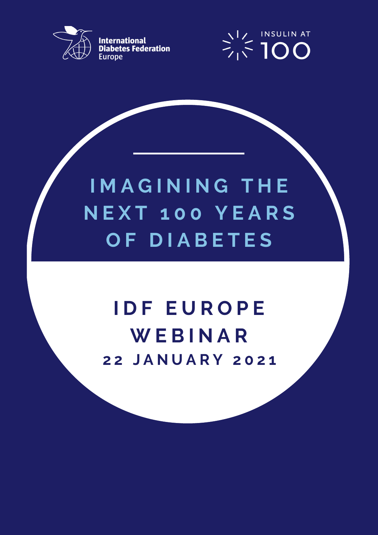

**International<br>Diabetes Federation Europe** 



# **I M A G I N I N G T H E N E X T 1 0 0 Y E A R S O F D I A B E T E S**

## **I D F E U R O P E W E B I N A R 2 2 J A N U A R Y 2 0 2 1**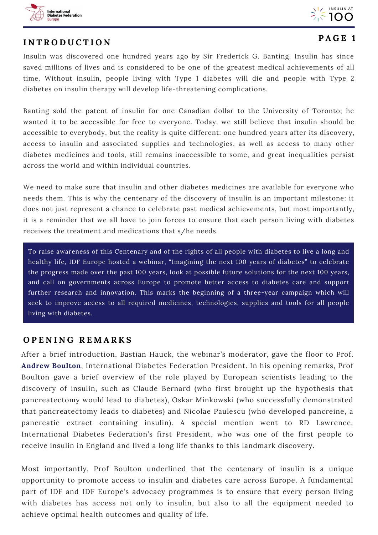



### **I N T R O D U C T I O N**

#### **P A G E 1**

Insulin was discovered one hundred years ago by Sir Frederick G. Banting. Insulin has since saved millions of lives and is considered to be one of the greatest medical achievements of all time. Without insulin, people living with Type 1 diabetes will die and people with Type 2 diabetes on insulin therapy will develop life-threatening complications.

Banting sold the patent of insulin for one Canadian dollar to the University of Toronto; he wanted it to be accessible for free to everyone. Today, we still believe that insulin should be accessible to everybody, but the reality is quite different: one hundred years after its discovery, access to insulin and associated supplies and technologies, as well as access to many other diabetes medicines and tools, still remains inaccessible to some, and great inequalities persist across the world and within individual countries.

We need to make sure that insulin and other diabetes medicines are available for everyone who needs them. This is why the centenary of the discovery of insulin is an important milestone: it does not just represent a chance to celebrate past medical achievements, but most importantly, it is a reminder that we all have to join forces to ensure that each person living with diabetes receives the treatment and medications that s/he needs.

To raise awareness of this Centenary and of the rights of all people with diabetes to live a long and healthy life, IDF Europe hosted a webinar, "Imagining the next 100 years of diabetes" to celebrate the progress made over the past 100 years, look at possible future solutions for the next 100 years, and call on governments across Europe to promote better access to diabetes care and support further research and innovation. This marks the beginning of a three-year campaign which will seek to improve access to all required medicines, technologies, supplies and tools for all people living with diabetes.

#### **O P E N I N G R E M A R K S**

After a brief introduction, Bastian Hauck, the webinar's moderator, gave the floor to Prof. **Andrew [Boulton](https://www.idf.org/index.php?option=com_attachments&task=download&id=2328:Prof)**, International Diabetes Federation President. In his opening remarks, Prof Boulton gave a brief overview of the role played by European scientists leading to the discovery of insulin, such as Claude Bernard (who first brought up the hypothesis that pancreatectomy would lead to diabetes), Oskar Minkowski (who successfully demonstrated that pancreatectomy leads to diabetes) and Nicolae Paulescu (who developed pancreine, a pancreatic extract containing insulin). A special mention went to RD Lawrence, International Diabetes Federation's first President, who was one of the first people to receive insulin in England and lived a long life thanks to this landmark discovery.

Most importantly, Prof Boulton underlined that the centenary of insulin is a unique opportunity to promote access to insulin and diabetes care across Europe. A fundamental part of IDF and IDF Europe's advocacy programmes is to ensure that every person living with diabetes has access not only to insulin, but also to all the equipment needed to achieve optimal health outcomes and quality of life.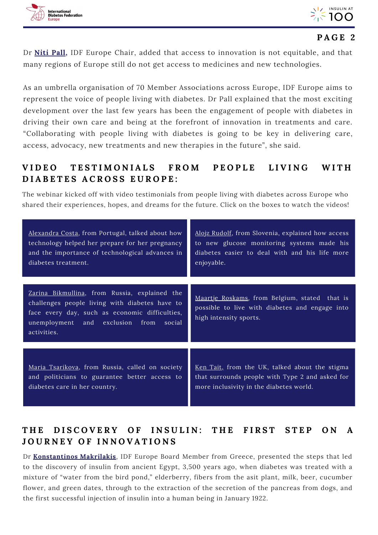



Dr **[Niti](https://www.idf.org/index.php?option=com_attachments&task=download&id=2329:Dr) Pall,** IDF Europe Chair, added that access to innovation is not equitable, and that many regions of Europe still do not get access to medicines and new technologies.

As an umbrella organisation of 70 Member Associations across Europe, IDF Europe aims to represent the voice of people living with diabetes. Dr Pall explained that the most exciting development over the last few years has been the engagement of people with diabetes in driving their own care and being at the forefront of innovation in treatments and care. "Collaborating with people living with diabetes is going to be key in delivering care, access, advocacy, new treatments and new therapies in the future", she said.

## VIDEO TESTIMONIALS FROM PEOPLE LIVING WITH **D I A B E T E S A C R O S S E U R O P E :**

The webinar kicked off with video testimonials from people living with diabetes across Europe who shared their experiences, hopes, and dreams for the future. Click on the boxes to watch the videos!

| Alexandra Costa, from Portugal, talked about how<br>technology helped her prepare for her pregnancy<br>and the importance of technological advances in<br>diabetes treatment. | Alojz Rudolf, from Slovenia, explained how access<br>to new glucose monitoring systems made his<br>diabetes easier to deal with and his life more<br>enjoyable. |
|-------------------------------------------------------------------------------------------------------------------------------------------------------------------------------|-----------------------------------------------------------------------------------------------------------------------------------------------------------------|
| Zarina Bikmullina, from Russia, explained the                                                                                                                                 |                                                                                                                                                                 |
| challenges people living with diabetes have to<br>face every day, such as economic difficulties,<br>unemployment and exclusion from<br>social<br>activities.                  | Maartje Roskams, from Belgium, stated that is<br>possible to live with diabetes and engage into<br>high intensity sports.                                       |
|                                                                                                                                                                               |                                                                                                                                                                 |
| Maria Tsarikova, from Russia, called on society<br>and politicians to guarantee better access to<br>diabetes care in her country.                                             | <u>Ken Tait</u> , from the UK, talked about the stigma<br>that surrounds people with Type 2 and asked for<br>more inclusivity in the diabetes world.            |

## THE DISCOVERY OF INSULIN: THE FIRST STEP ON A **J O U R N E Y O F I N N O V A T I O N S**

Dr **[Konstantinos](https://www.idf.org/index.php?option=com_attachments&task=download&id=2359:Prof) Makrilakis**, IDF Europe Board Member from Greece, presented the steps that led to the discovery of insulin from ancient Egypt, 3,500 years ago, when diabetes was treated with a mixture of "water from the bird pond," elderberry, fibers from the asit plant, milk, beer, cucumber flower, and green dates, through to the extraction of the secretion of the pancreas from dogs, and the first successful injection of insulin into a human being in January 1922.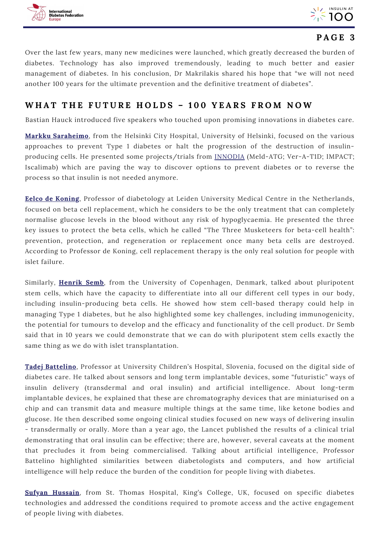



Over the last few years, many new medicines were launched, which greatly decreased the burden of diabetes. Technology has also improved tremendously, leading to much better and easier management of diabetes. In his conclusion, Dr Makrilakis shared his hope that "we will not need another 100 years for the ultimate prevention and the definitive treatment of diabetes".

#### WHAT THE FUTURE HOLDS - 100 YEARS FROM NOW

Bastian Hauck introduced five speakers who touched upon promising innovations in diabetes care.

**Markku [Saraheimo](https://www.idf.org/index.php?option=com_attachments&task=download&id=2331:Dr)**, from the Helsinki City Hospital, University of Helsinki, focused on the various approaches to prevent Type 1 diabetes or halt the progression of the destruction of insulinproducing cells. He presented some projects/trials from [INNODIA](https://www.innodia.eu/) (Meld-ATG; Ver-A-T1D; IMPACT; Iscalimab) which are paving the way to discover options to prevent diabetes or to reverse the process so that insulin is not needed anymore.

**Eelco de [Koning](https://www.idf.org/index.php?option=com_attachments&task=download&id=2326:Eeclo-de-Koning-2021-01-Bio-IDF-Seminar)**, Professor of diabetology at Leiden University Medical Centre in the Netherlands, focused on beta cell replacement, which he considers to be the only treatment that can completely normalise glucose levels in the blood without any risk of hypoglycaemia. He presented the three key issues to protect the beta cells, which he called "The Three Musketeers for beta-cell health": prevention, protection, and regeneration or replacement once many beta cells are destroyed. According to Professor de Koning, cell replacement therapy is the only real solution for people with islet failure.

Similarly, **[Henrik](https://www.idf.org/index.php?option=com_attachments&task=download&id=2327:CV_2021_Henrik-Semb) Semb**, from the University of Copenhagen, Denmark, talked about pluripotent stem cells, which have the capacity to differentiate into all our different cell types in our body, including insulin-producing beta cells. He showed how stem cell-based therapy could help in managing Type 1 diabetes, but he also highlighted some key challenges, including immunogenicity, the potential for tumours to develop and the efficacy and functionality of the cell product. Dr Semb said that in 10 years we could demonstrate that we can do with pluripotent stem cells exactly the same thing as we do with islet transplantation.

**Tadej [Battelino](https://www.idf.org/index.php?option=com_attachments&task=download&id=2324:Tadej-Batellino-Short-CV-01-21)**, Professor at University Children's Hospital, Slovenia, focused on the digital side of diabetes care. He talked about sensors and long term implantable devices, some "futuristic" ways of insulin delivery (transdermal and oral insulin) and artificial intelligence. About long-term implantable devices, he explained that these are chromatography devices that are miniaturised on a chip and can transmit data and measure multiple things at the same time, like ketone bodies and glucose. He then described some ongoing clinical studies focused on new ways of delivering insulin - transdermally or orally. More than a year ago, the Lancet published the results of a clinical trial demonstrating that oral insulin can be effective; there are, however, several caveats at the moment that precludes it from being commercialised. Talking about artificial intelligence, Professor Battelino highlighted similarities between diabetologists and computers, and how artificial intelligence will help reduce the burden of the condition for people living with diabetes.

**Sufyan [Hussain](https://www.idf.org/index.php?option=com_attachments&task=download&id=2332:Sufyan-Hussain-Bio)**, from St. Thomas Hospital, King's College, UK, focused on specific diabetes technologies and addressed the conditions required to promote access and the active engagement of people living with diabetes.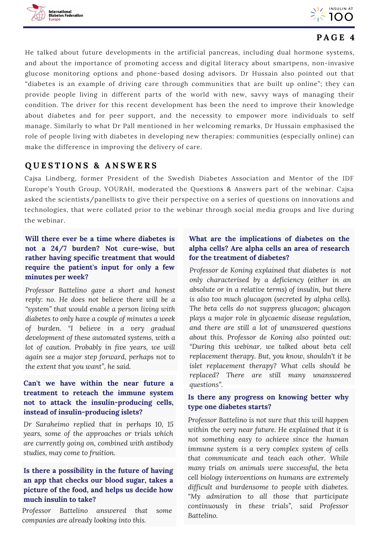



He talked about future developments in the artificial pancreas, including dual hormone systems, and about the importance of promoting access and digital literacy about smartpens, non-invasive glucose monitoring options and phone-based dosing advisors. Dr Hussain also pointed out that "diabetes is an example of driving care through communities that are built up online"; they can provide people living in different parts of the world with new, savvy ways of managing their condition. The driver for this recent development has been the need to improve their knowledge about diabetes and for peer support, and the necessity to empower more individuals to self manage. Similarly to what Dr Pall mentioned in her welcoming remarks, Dr Hussain emphasised the role of people living with diabetes in developing new therapies: communities (especially online) can make the difference in improving the delivery of care.

### **Q U E S T I O N S & A N S W E R S**

Cajsa Lindberg, former President of the Swedish Diabetes Association and Mentor of the IDF Europe's Youth Group, YOURAH, moderated the Questions & Answers part of the webinar. Cajsa asked the scientists/panellists to give their perspective on a series of questions on innovations and technologies, that were collated prior to the webinar through social media groups and live during the webinar.

#### **Will there ever be a time where diabetes is not a 24/7 burden? Not cure-wise, but rather having specific treatment that would require the patient's input for only a few minutes per week?**

*Professor Battelino gave a short and honest reply: no. He does not believe there will be a "system" that would enable a person living with diabetes to only have a couple of minutes a week of burden. "I believe in a very gradual development of these automated systems, with a lot of caution. Probably in five years, we will again see a major step forward, perhaps not to the extent that you want", he said.*

#### **Can't we have within the near future a** questions". **treatment to reteach the immune system not to attack the insulin-producing cells, instead of insulin-producing islets?**

*Dr Saraheimo replied that in perhaps 10, 15 years, some of the approaches or trials which are currently going on, combined with antibody studies, may come to fruition.*

#### **Is there a possibility in the future of having an app that checks our blood sugar, takes a picture of the food, and helps us decide how much insulin to take?**

*Professor Battelino answered that some companies are already looking into this.*

#### **What are the implications of diabetes on the alpha cells? Are alpha cells an area of research for the treatment of diabetes?**

*Professor de Koning explained that diabetes is not only characterised by a deficiency (either in an absolute or in a relative terms) of insulin, but there is also too much glucagon (secreted by alpha cells). The beta cells do not suppress glucagon; glucagon plays a major role in glycaemic disease regulation, and there are still a lot of unanswered questions about this. Professor de Koning also pointed out: "During this webinar, we talked about beta cell replacement therapy. But, you know, shouldn't it be islet replacement therapy? What cells should be replaced? There are still many unanswered*

#### **Is there any progress on knowing better why type one diabetes starts?**

*Professor Battelino is not sure that this will happen within the very near future. He explained that it is not something easy to achieve since the human immune system is a very complex system of cells that communicate and teach each other. While many trials on animals were successful, the beta cell biology interventions on humans are extremely difficult and burdensome to people with diabetes. "My admiration to all those that participate continuously in these trials", said Professor Battelino.*